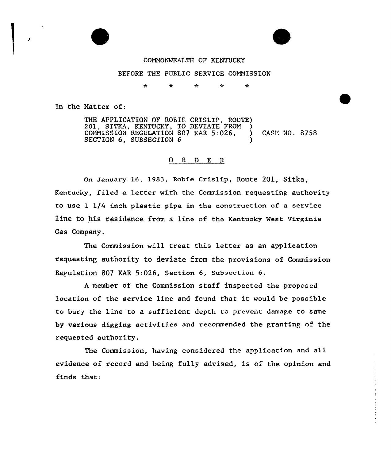



## CONNONWEALTH OF KENTUCKY

## BEFORE THE PUBLIC SERVICE CONNISSION

 $\ddot{\phantom{0}}$  $\ddot{\phantom{0}}$  $\star$  $\star$  $\star$ 

In the Matter of:

THE APPLICATION OF ROBIF, CRISLIP, ROUTE) 201, SITKA, KENTUCKY, TO DEVIATE FROM ) CONNISSION REGULATION 807 KAR 5:026, ) CASE NO. 8758 SECTION 6. SUBSECTION 6

## 0 R <sup>D</sup> E R

On Januaxy 16, 1983, Robie Crislip, Route 201, Sitka, Kentucky, filed a letter with the Commission requesting authoxity to use 1 1/4 inch plastic pipe in the construction of a sexvice line to his residence from a line of the Kentucky West Virginia Gas Company.

The Commission will treat this letter as an application requesting authority to deviate from the provisions of Commission Regulation 807 EAR 5:026, Section 6, Subsection 6.

<sup>A</sup> member of the Commission staff inspected the proposed location of the service line and found that it would be possible to bury the line to a sufficient depth to prevent damage to same by various digging activities and recommended the granting of the x'equested authority.

The Commission, having considered the application and all evidence of record and being fully advised, is of the opinion and finds that: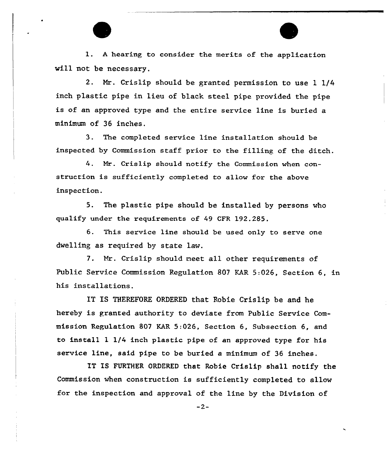l. <sup>A</sup> hearing to consider the merits of the application will not be necessary.

2. Nr. Crislip should be granted permission to use 1 1/4 inch plastic pipe in lieu of black steel pipe provided the pipe is of an approved type and the entire service line is buried a minimum of 36 inches.

3. The completed service line installation should be inspected by Commission staff prior to the filling of the ditch.

4. Mr. Crislip should notify the Commission when construction is sufficiently completed to allow for the above inspection.

5. The plastic pipe should be installed by persons who qualify under the requirements of 49 CFR 192.285.

6. This service line should be used only to serve one dwelling as required by state law.

7. Nx. Crislip should meet all other requirements of Public Service Commission Regulation 807 KAR 5:026, Section 6, in his installations.

IT IS THEREFORE ORDERED that Robie Crislip be and he hereby is granted authority to deviate from Public Service Commission Regulation 807 KAR 5:026, Section 6, Subsection 6, and to install 1 1/4 inch plastic pipe of an approved type for his service line, said pipe to be buried a minimum of 36 inches.

TT IS FURTHER ORDERED that Robie Crislip shall notify the Commission when construction is sufficiently completed to allow for the inspection and approval of the line by the Division of

 $-2-$